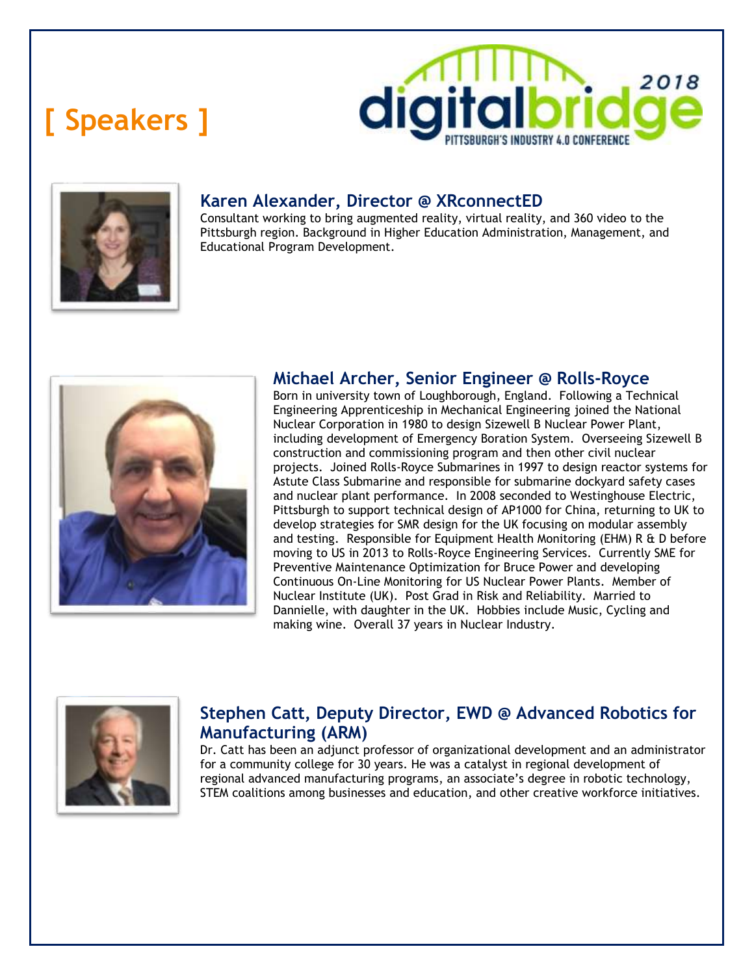# **[ Speakers ]**





## **Karen Alexander, Director @ XRconnectED**

Consultant working to bring augmented reality, virtual reality, and 360 video to the Pittsburgh region. Background in Higher Education Administration, Management, and Educational Program Development.



## **Michael Archer, Senior Engineer @ Rolls-Royce**

Born in university town of Loughborough, England. Following a Technical Engineering Apprenticeship in Mechanical Engineering joined the National Nuclear Corporation in 1980 to design Sizewell B Nuclear Power Plant, including development of Emergency Boration System. Overseeing Sizewell B construction and commissioning program and then other civil nuclear projects. Joined Rolls-Royce Submarines in 1997 to design reactor systems for Astute Class Submarine and responsible for submarine dockyard safety cases and nuclear plant performance. In 2008 seconded to Westinghouse Electric, Pittsburgh to support technical design of AP1000 for China, returning to UK to develop strategies for SMR design for the UK focusing on modular assembly and testing. Responsible for Equipment Health Monitoring (EHM) R & D before moving to US in 2013 to Rolls-Royce Engineering Services. Currently SME for Preventive Maintenance Optimization for Bruce Power and developing Continuous On-Line Monitoring for US Nuclear Power Plants. Member of Nuclear Institute (UK). Post Grad in Risk and Reliability. Married to Dannielle, with daughter in the UK. Hobbies include Music, Cycling and making wine. Overall 37 years in Nuclear Industry.



## **Stephen Catt, Deputy Director, EWD @ Advanced Robotics for Manufacturing (ARM)**

Dr. Catt has been an adjunct professor of organizational development and an administrator for a community college for 30 years. He was a catalyst in regional development of regional advanced manufacturing programs, an associate's degree in robotic technology, STEM coalitions among businesses and education, and other creative workforce initiatives.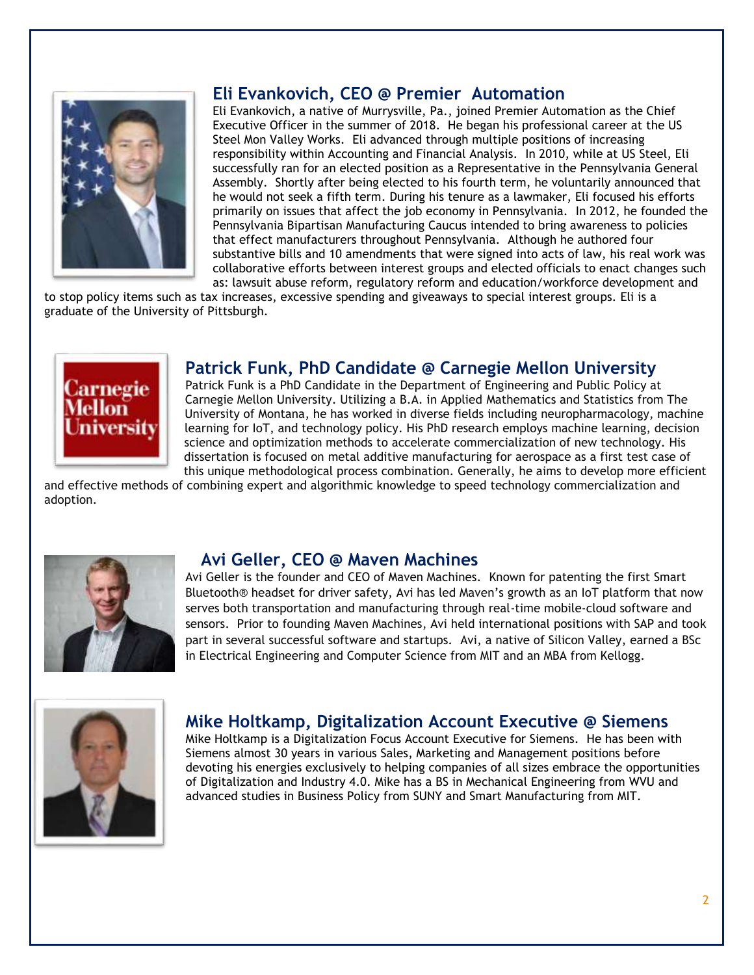

#### **Eli Evankovich, CEO @ Premier Automation**

Eli Evankovich, a native of Murrysville, Pa., joined Premier Automation as the Chief Executive Officer in the summer of 2018. He began his professional career at the US Steel Mon Valley Works. Eli advanced through multiple positions of increasing responsibility within Accounting and Financial Analysis. In 2010, while at US Steel, Eli successfully ran for an elected position as a Representative in the Pennsylvania General Assembly. Shortly after being elected to his fourth term, he voluntarily announced that he would not seek a fifth term. During his tenure as a lawmaker, Eli focused his efforts primarily on issues that affect the job economy in Pennsylvania. In 2012, he founded the Pennsylvania Bipartisan Manufacturing Caucus intended to bring awareness to policies that effect manufacturers throughout Pennsylvania. Although he authored four substantive bills and 10 amendments that were signed into acts of law, his real work was collaborative efforts between interest groups and elected officials to enact changes such as: lawsuit abuse reform, regulatory reform and education/workforce development and

to stop policy items such as tax increases, excessive spending and giveaways to special interest groups. Eli is a graduate of the University of Pittsburgh.



#### **Patrick Funk, PhD Candidate @ Carnegie Mellon University**

Patrick Funk is a PhD Candidate in the Department of Engineering and Public Policy at Carnegie Mellon University. Utilizing a B.A. in Applied Mathematics and Statistics from The University of Montana, he has worked in diverse fields including neuropharmacology, machine learning for IoT, and technology policy. His PhD research employs machine learning, decision science and optimization methods to accelerate commercialization of new technology. His dissertation is focused on metal additive manufacturing for aerospace as a first test case of this unique methodological process combination. Generally, he aims to develop more efficient

and effective methods of combining expert and algorithmic knowledge to speed technology commercialization and adoption.



#### **Avi Geller, CEO @ Maven Machines**

Avi Geller is the founder and CEO of Maven Machines. Known for patenting the first Smart Bluetooth® headset for driver safety, Avi has led Maven's growth as an IoT platform that now serves both transportation and manufacturing through real-time mobile-cloud software and sensors. Prior to founding Maven Machines, Avi held international positions with SAP and took part in several successful software and startups. Avi, a native of Silicon Valley, earned a BSc in Electrical Engineering and Computer Science from MIT and an MBA from Kellogg.



#### **Mike Holtkamp, Digitalization Account Executive @ Siemens**

Mike Holtkamp is a Digitalization Focus Account Executive for Siemens. He has been with Siemens almost 30 years in various Sales, Marketing and Management positions before devoting his energies exclusively to helping companies of all sizes embrace the opportunities of Digitalization and Industry 4.0. Mike has a BS in Mechanical Engineering from WVU and advanced studies in Business Policy from SUNY and Smart Manufacturing from MIT.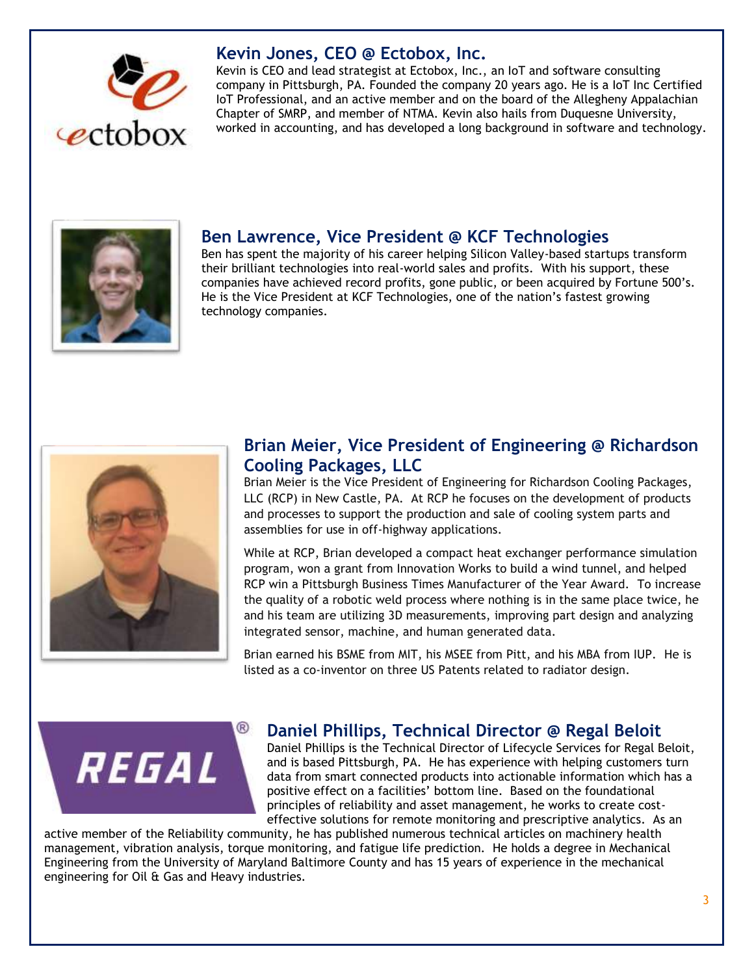

#### **Kevin Jones, CEO @ Ectobox, Inc.**

Kevin is CEO and lead strategist at Ectobox, Inc., an IoT and software consulting company in Pittsburgh, PA. Founded the company 20 years ago. He is a IoT Inc Certified IoT Professional, and an active member and on the board of the Allegheny Appalachian Chapter of SMRP, and member of NTMA. Kevin also hails from Duquesne University, worked in accounting, and has developed a long background in software and technology.



#### **Ben Lawrence, Vice President @ KCF Technologies**

Ben has spent the majority of his career helping Silicon Valley-based startups transform their brilliant technologies into real-world sales and profits. With his support, these companies have achieved record profits, gone public, or been acquired by Fortune 500's. He is the Vice President at KCF Technologies, one of the nation's fastest growing technology companies.



### **Brian Meier, Vice President of Engineering @ Richardson Cooling Packages, LLC**

Brian Meier is the Vice President of Engineering for Richardson Cooling Packages, LLC (RCP) in New Castle, PA. At RCP he focuses on the development of products and processes to support the production and sale of cooling system parts and assemblies for use in off-highway applications.

While at RCP, Brian developed a compact heat exchanger performance simulation program, won a grant from Innovation Works to build a wind tunnel, and helped RCP win a Pittsburgh Business Times Manufacturer of the Year Award. To increase the quality of a robotic weld process where nothing is in the same place twice, he and his team are utilizing 3D measurements, improving part design and analyzing integrated sensor, machine, and human generated data.

Brian earned his BSME from MIT, his MSEE from Pitt, and his MBA from IUP. He is listed as a co-inventor on three US Patents related to radiator design.



#### **Daniel Phillips, Technical Director @ Regal Beloit**

Daniel Phillips is the Technical Director of Lifecycle Services for Regal Beloit, and is based Pittsburgh, PA. He has experience with helping customers turn data from smart connected products into actionable information which has a positive effect on a facilities' bottom line. Based on the foundational principles of reliability and asset management, he works to create costeffective solutions for remote monitoring and prescriptive analytics. As an

active member of the Reliability community, he has published numerous technical articles on machinery health management, vibration analysis, torque monitoring, and fatigue life prediction. He holds a degree in Mechanical Engineering from the University of Maryland Baltimore County and has 15 years of experience in the mechanical engineering for Oil & Gas and Heavy industries.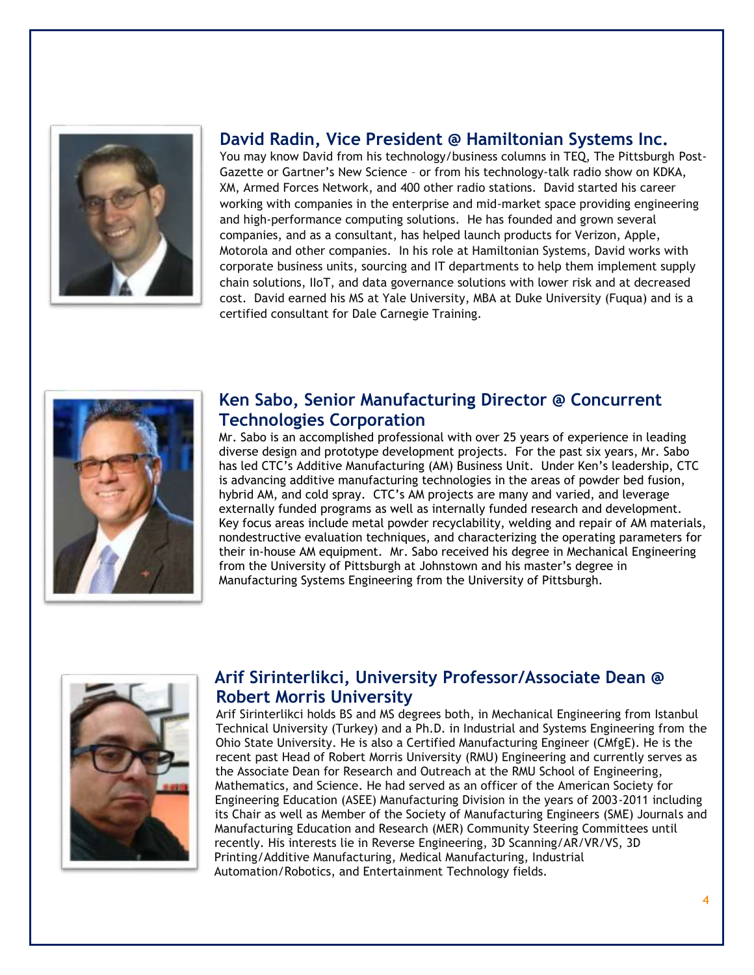

#### **David Radin, Vice President @ Hamiltonian Systems Inc.**

You may know David from his technology/business columns in TEQ, The Pittsburgh Post-Gazette or Gartner's New Science – or from his technology-talk radio show on KDKA, XM, Armed Forces Network, and 400 other radio stations. David started his career working with companies in the enterprise and mid-market space providing engineering and high-performance computing solutions. He has founded and grown several companies, and as a consultant, has helped launch products for Verizon, Apple, Motorola and other companies. In his role at Hamiltonian Systems, David works with corporate business units, sourcing and IT departments to help them implement supply chain solutions, IIoT, and data governance solutions with lower risk and at decreased cost. David earned his MS at Yale University, MBA at Duke University (Fuqua) and is a certified consultant for Dale Carnegie Training.



#### **Ken Sabo, Senior Manufacturing Director @ Concurrent Technologies Corporation**

Mr. Sabo is an accomplished professional with over 25 years of experience in leading diverse design and prototype development projects. For the past six years, Mr. Sabo has led CTC's Additive Manufacturing (AM) Business Unit. Under Ken's leadership, CTC is advancing additive manufacturing technologies in the areas of powder bed fusion, hybrid AM, and cold spray. CTC's AM projects are many and varied, and leverage externally funded programs as well as internally funded research and development. Key focus areas include metal powder recyclability, welding and repair of AM materials, nondestructive evaluation techniques, and characterizing the operating parameters for their in-house AM equipment. Mr. Sabo received his degree in Mechanical Engineering from the University of Pittsburgh at Johnstown and his master's degree in Manufacturing Systems Engineering from the University of Pittsburgh.



## **Arif Sirinterlikci, University Professor/Associate Dean @ Robert Morris University**

Arif Sirinterlikci holds BS and MS degrees both, in Mechanical Engineering from Istanbul Technical University (Turkey) and a Ph.D. in Industrial and Systems Engineering from the Ohio State University. He is also a Certified Manufacturing Engineer (CMfgE). He is the recent past Head of Robert Morris University (RMU) Engineering and currently serves as the Associate Dean for Research and Outreach at the RMU School of Engineering, Mathematics, and Science. He had served as an officer of the American Society for Engineering Education (ASEE) Manufacturing Division in the years of 2003-2011 including its Chair as well as Member of the Society of Manufacturing Engineers (SME) Journals and Manufacturing Education and Research (MER) Community Steering Committees until recently. His interests lie in Reverse Engineering, 3D Scanning/AR/VR/VS, 3D Printing/Additive Manufacturing, Medical Manufacturing, Industrial Automation/Robotics, and Entertainment Technology fields.